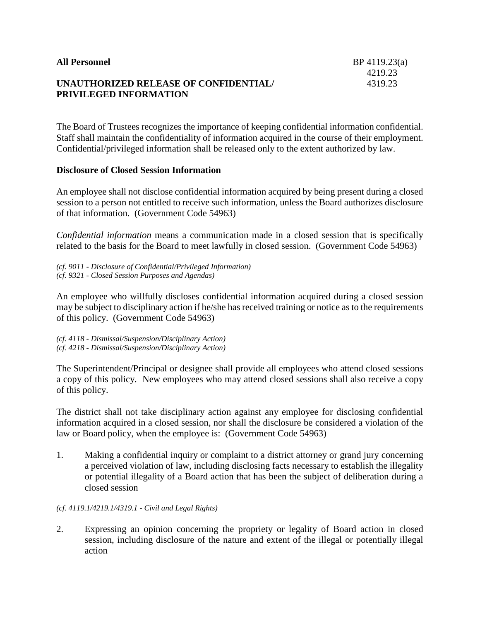| <b>All Personnel</b>                  | $BP$ 4119.23(a) |
|---------------------------------------|-----------------|
|                                       | 4219.23         |
| UNAUTHORIZED RELEASE OF CONFIDENTIAL/ | 4319.23         |
| <b>PRIVILEGED INFORMATION</b>         |                 |
|                                       |                 |

The Board of Trustees recognizes the importance of keeping confidential information confidential. Staff shall maintain the confidentiality of information acquired in the course of their employment. Confidential/privileged information shall be released only to the extent authorized by law.

## **Disclosure of Closed Session Information**

An employee shall not disclose confidential information acquired by being present during a closed session to a person not entitled to receive such information, unless the Board authorizes disclosure of that information. (Government Code 54963)

*Confidential information* means a communication made in a closed session that is specifically related to the basis for the Board to meet lawfully in closed session. (Government Code 54963)

*(cf. 9011 - Disclosure of Confidential/Privileged Information) (cf. 9321 - Closed Session Purposes and Agendas)*

An employee who willfully discloses confidential information acquired during a closed session may be subject to disciplinary action if he/she has received training or notice as to the requirements of this policy. (Government Code 54963)

*(cf. 4118 - Dismissal/Suspension/Disciplinary Action) (cf. 4218 - Dismissal/Suspension/Disciplinary Action)*

The Superintendent/Principal or designee shall provide all employees who attend closed sessions a copy of this policy. New employees who may attend closed sessions shall also receive a copy of this policy.

The district shall not take disciplinary action against any employee for disclosing confidential information acquired in a closed session, nor shall the disclosure be considered a violation of the law or Board policy, when the employee is: (Government Code 54963)

1. Making a confidential inquiry or complaint to a district attorney or grand jury concerning a perceived violation of law, including disclosing facts necessary to establish the illegality or potential illegality of a Board action that has been the subject of deliberation during a closed session

#### *(cf. 4119.1/4219.1/4319.1 - Civil and Legal Rights)*

2. Expressing an opinion concerning the propriety or legality of Board action in closed session, including disclosure of the nature and extent of the illegal or potentially illegal action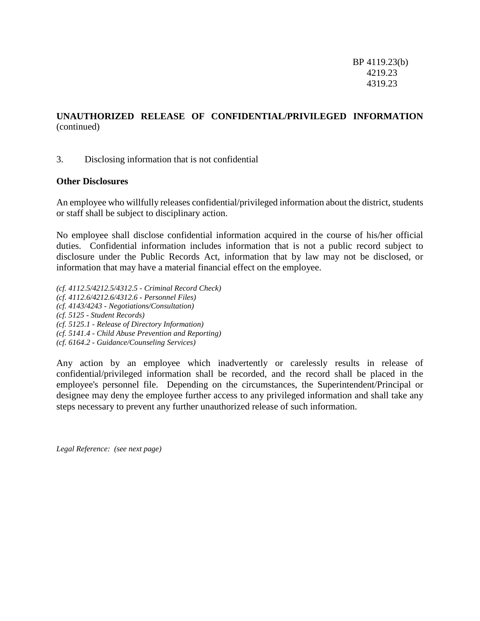BP 4119.23(b) 4219.23 4319.23

# **UNAUTHORIZED RELEASE OF CONFIDENTIAL/PRIVILEGED INFORMATION** (continued)

### 3. Disclosing information that is not confidential

#### **Other Disclosures**

An employee who willfully releases confidential/privileged information about the district, students or staff shall be subject to disciplinary action.

No employee shall disclose confidential information acquired in the course of his/her official duties. Confidential information includes information that is not a public record subject to disclosure under the Public Records Act, information that by law may not be disclosed, or information that may have a material financial effect on the employee.

*(cf. 4112.5/4212.5/4312.5 - Criminal Record Check) (cf. 4112.6/4212.6/4312.6 - Personnel Files) (cf. 4143/4243 - Negotiations/Consultation) (cf. 5125 - Student Records) (cf. 5125.1 - Release of Directory Information) (cf. 5141.4 - Child Abuse Prevention and Reporting) (cf. 6164.2 - Guidance/Counseling Services)*

Any action by an employee which inadvertently or carelessly results in release of confidential/privileged information shall be recorded, and the record shall be placed in the employee's personnel file. Depending on the circumstances, the Superintendent/Principal or designee may deny the employee further access to any privileged information and shall take any steps necessary to prevent any further unauthorized release of such information.

*Legal Reference: (see next page)*